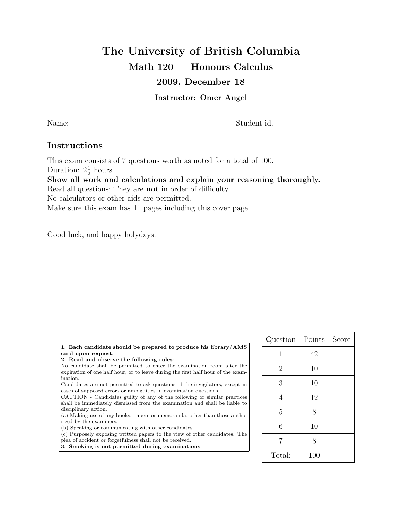# The University of British Columbia

## Math 120 — Honours Calculus

### 2009, December 18

#### Instructor: Omer Angel

Name: Student id.

## Instructions

This exam consists of 7 questions worth as noted for a total of 100. Duration:  $2\frac{1}{2}$  hours. Show all work and calculations and explain your reasoning thoroughly. Read all questions; They are not in order of difficulty. No calculators or other aids are permitted. Make sure this exam has 11 pages including this cover page.

Good luck, and happy holydays.

| 1. Each candidate should be prepared to produce his library/AMS                  |  |
|----------------------------------------------------------------------------------|--|
| card upon request.                                                               |  |
| 2. Read and observe the following rules:                                         |  |
| No candidate shall be permitted to enter the examination room after the          |  |
| expiration of one half hour, or to leave during the first half hour of the exam- |  |
| ination.                                                                         |  |
| Candidates are not permitted to ask questions of the invigilators, except in     |  |
| cases of supposed errors or ambiguities in examination questions.                |  |
| CAUTION - Candidates guilty of any of the following or similar practices         |  |
| shall be immediately dismissed from the examination and shall be liable to       |  |
| disciplinary action.                                                             |  |
| (a) Making use of any books, papers or memoranda, other than those autho-        |  |
| rized by the examiners.                                                          |  |
| (b) Speaking or communicating with other candidates.                             |  |
|                                                                                  |  |

(c) Purposely exposing written papers to the view of other candidates. The plea of accident or forgetfulness shall not be received.

3. Smoking is not permitted during examinations.

| Question       | Points | Score |
|----------------|--------|-------|
| 1              | 42     |       |
| $\overline{2}$ | 10     |       |
| 3              | 10     |       |
| $\overline{4}$ | 12     |       |
| 5              | 8      |       |
| 6              | 10     |       |
| $\overline{7}$ | 8      |       |
| Total:         | 100    |       |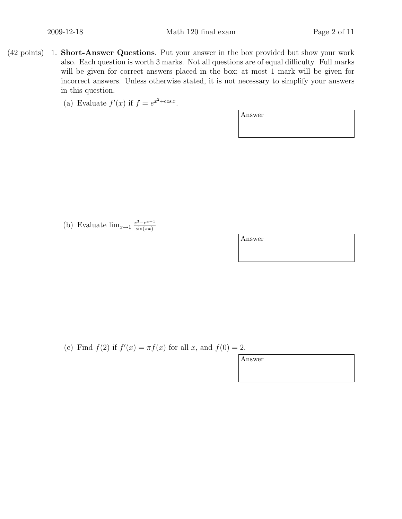- (42 points) 1. Short-Answer Questions. Put your answer in the box provided but show your work also. Each question is worth 3 marks. Not all questions are of equal difficulty. Full marks will be given for correct answers placed in the box; at most 1 mark will be given for incorrect answers. Unless otherwise stated, it is not necessary to simplify your answers in this question.
	- (a) Evaluate  $f'(x)$  if  $f = e^{x^2 + \cos x}$ .

Answer

(b) Evaluate  $\lim_{x\to 1} \frac{x^3 - e^{x-1}}{\sin(\pi x)}$  $\sin(\pi x)$ 

Answer

(c) Find  $f(2)$  if  $f'(x) = \pi f(x)$  for all x, and  $f(0) = 2$ .

| Answer |  |  |
|--------|--|--|
|        |  |  |
|        |  |  |
|        |  |  |
|        |  |  |
|        |  |  |
|        |  |  |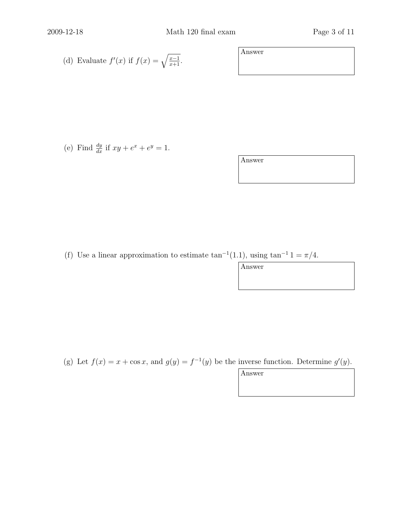(d) Evaluate 
$$
f'(x)
$$
 if  $f(x) = \sqrt{\frac{x-1}{x+1}}$ .

(e) Find  $\frac{dy}{dx}$  if  $xy + e^x + e^y = 1$ .

Answer

Answer

(f) Use a linear approximation to estimate  $\tan^{-1}(1.1)$ , using  $\tan^{-1} 1 = \pi/4$ .

Answer

(g) Let  $f(x) = x + \cos x$ , and  $g(y) = f^{-1}(y)$  be the inverse function. Determine  $g'(y)$ .

Answer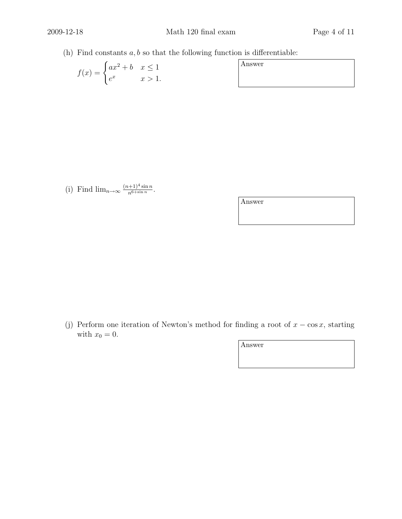(h) Find constants  $a, b$  so that the following function is differentiable:

$$
f(x) = \begin{cases} ax^2 + b & x \le 1 \\ e^x & x > 1. \end{cases}
$$

| Answer |  |
|--------|--|
|        |  |

(i) Find  $\lim_{n\to\infty} \frac{(n+1)^4 \sin n}{n^{6+\sin n}}$ .

Answer

(j) Perform one iteration of Newton's method for finding a root of  $x - \cos x$ , starting with  $x_0 = 0$ .

Answer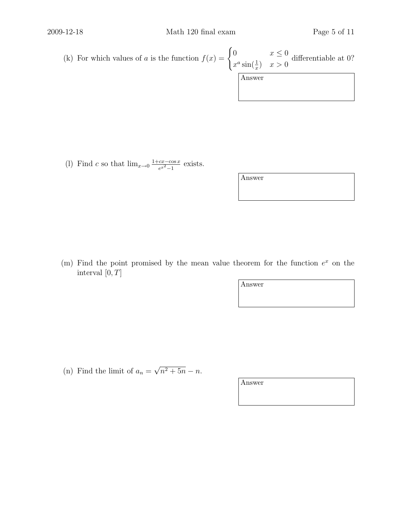(k) For which values of a is the function  $f(x) = \begin{cases} 0 & x \leq 0 \\ 0 & x \leq 0 \end{cases}$  $x^a \sin(\frac{1}{x})$   $x > 0$ differentiable at 0? Answer

(1) Find c so that  $\lim_{x\to 0} \frac{1+cx-\cos x}{e^{x^2}-1}$  $\frac{cx - \cos x}{e^{x^2} - 1}$  exists.

Answer

(m) Find the point promised by the mean value theorem for the function  $e^x$  on the interval  $[0, T]$ 

Answer

(n) Find the limit of  $a_n = \sqrt{n^2 + 5n} - n$ .

Answer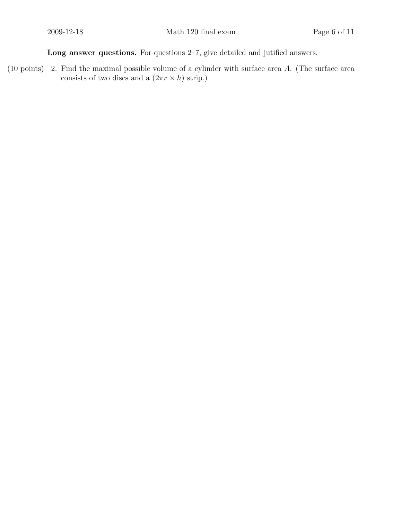Long answer questions. For questions 2–7, give detailed and jutified answers.

(10 points) 2. Find the maximal possible volume of a cylinder with surface area  $A$ . (The surface area consists of two discs and a  $(2\pi r \times h)$  strip.)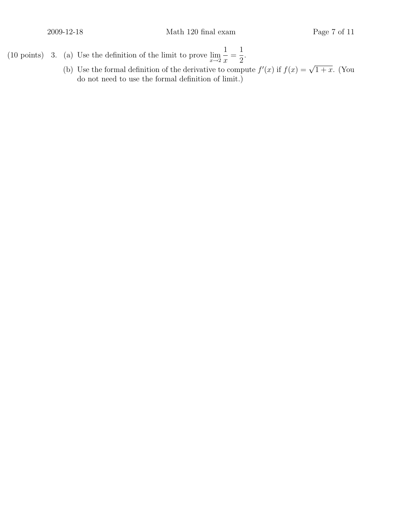- (10 points) 3. (a) Use the definition of the limit to prove  $\lim_{x\to 2}$ 1  $\boldsymbol{x}$ = 1 2 .
	- (b) Use the formal definition of the derivative to compute  $f'(x)$  if  $f(x) = \sqrt{1+x}$ . (You do not need to use the formal definition of limit.)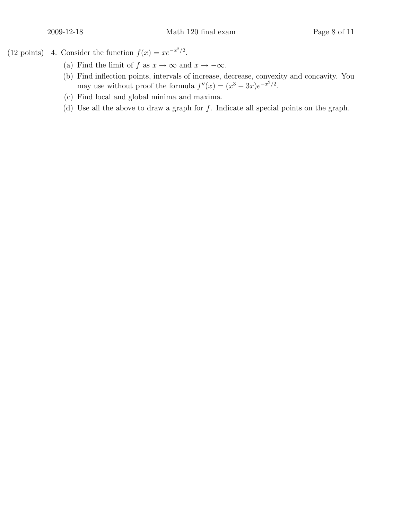(12 points) 4. Consider the function  $f(x) = xe^{-x^2/2}$ .

- (a) Find the limit of f as  $x \to \infty$  and  $x \to -\infty$ .
- (b) Find inflection points, intervals of increase, decrease, convexity and concavity. You may use without proof the formula  $f''(x) = (x^3 - 3x)e^{-x^2/2}$ .
- (c) Find local and global minima and maxima.
- (d) Use all the above to draw a graph for f. Indicate all special points on the graph.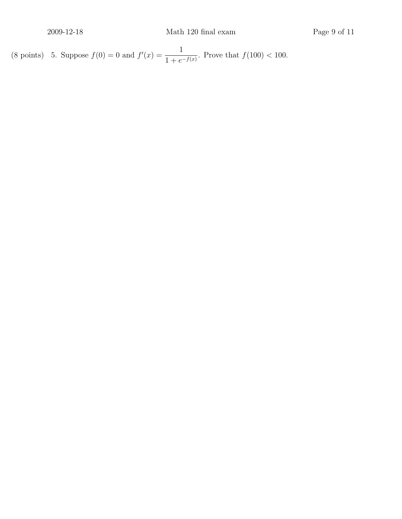(8 points) 5. Suppose  $f(0) = 0$  and  $f'(x) = \frac{1}{1+x^2}$  $\frac{1}{1 + e^{-f(x)}}$ . Prove that  $f(100) < 100$ .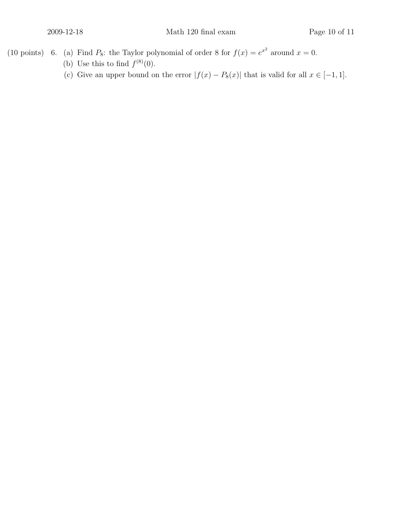- (10 points) 6. (a) Find  $P_8$ : the Taylor polynomial of order 8 for  $f(x) = e^{x^2}$  around  $x = 0$ .
	- (b) Use this to find  $f^{(8)}(0)$ .
	- (c) Give an upper bound on the error  $|f(x) P_8(x)|$  that is valid for all  $x \in [-1, 1]$ .